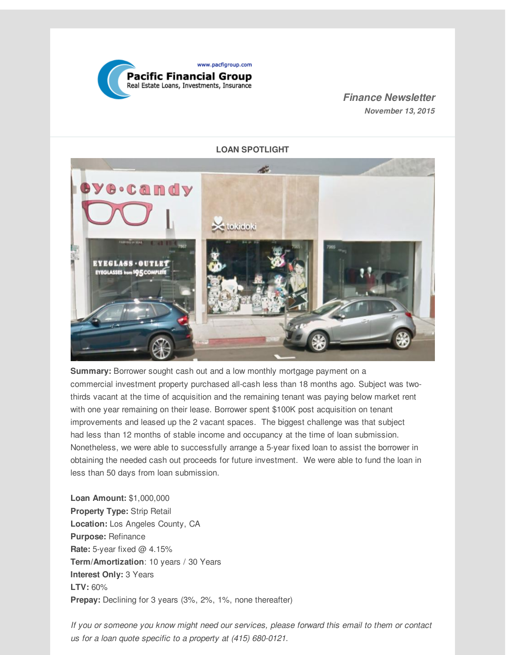

#### *Finance Newsletter November 13, 2015*



**Summary:** Borrower sought cash out and a low monthly mortgage payment on a commercial investment property purchased all-cash less than 18 months ago. Subject was twothirds vacant at the time of acquisition and the remaining tenant was paying below market rent with one year remaining on their lease. Borrower spent \$100K post acquisition on tenant improvements and leased up the 2 vacant spaces. The biggest challenge was that subject had less than 12 months of stable income and occupancy at the time of loan submission. Nonetheless, we were able to successfully arrange a 5-year fixed loan to assist the borrower in obtaining the needed cash out proceeds for future investment. We were able to fund the loan in less than 50 days from loan submission.

**Loan Amount:** \$1,000,000 **Property Type:** Strip Retail **Location:** Los Angeles County, CA **Purpose:** Refinance **Rate:** 5-year fixed @ 4.15% **Term/Amortization**: 10 years / 30 Years **Interest Only:** 3 Years **LTV:** 60% **Prepay:** Declining for 3 years (3%, 2%, 1%, none thereafter)

*If you or someone you know might need our services, please forward this email to them or contact us for a loan quote specific to a property at (415) 680-0121.*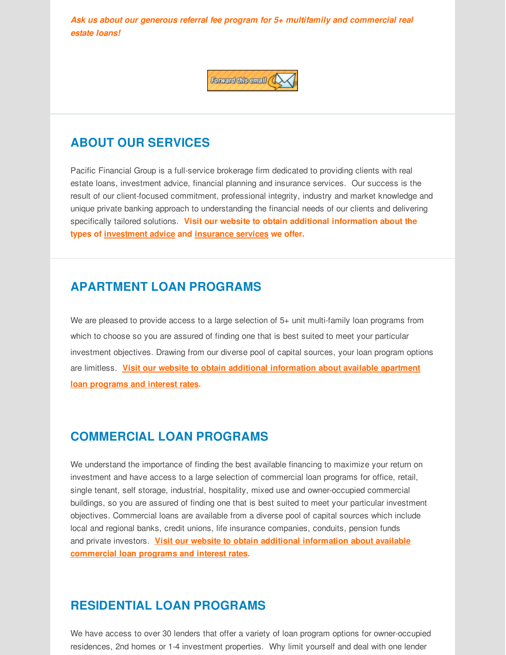*Ask us about our generous referral fee program for 5+ multifamily and commercial real estate loans!*



# **ABOUT OUR SERVICES**

Pacific Financial Group is a full-service brokerage firm dedicated to providing clients with real estate loans, investment advice, financial planning and insurance services. Our success is the result of our client-focused commitment, professional integrity, industry and market knowledge and unique private banking approach to understanding the financial needs of our clients and delivering specifically tailored solutions. **Visit our website to obtain additional information about the types of [investment](http://r20.rs6.net/tn.jsp?f=001y1ltD-1ldJDzDiVwNHG-Es5HooYJqU2RTJRjSvwn_LiyjeQXwVNZuH_NcmzSyjcFjeiH_1-1TmXPggPkOHvOMYttzeIsw7-VtXoILbolfo7gHSC_5Wusp3LsQP--mtU0v-yoMnFJvWeSBQXDDGKn9Vq9m3isfQBAxbn0d86PbjzpCAaNUajX9OPtsGl4QqLfpVKAz97OZ0s=&c=&ch=) advice and [insurance](http://r20.rs6.net/tn.jsp?f=001y1ltD-1ldJDzDiVwNHG-Es5HooYJqU2RTJRjSvwn_LiyjeQXwVNZuH_NcmzSyjcFTxaCkXjba2LmCOFpZovzdqrxZSR6Ojnd_Uo0ld7qaEBCj2Gfz3ZavXw-hi9kiQInMbeChTjTyX2NJ4Net1pUhjAfjEBj0gguBTSItC8rtHupudwXZJpjM8GgiAgtxWxXWOOYkNuIoII=&c=&ch=) services we offer.**

### **APARTMENT LOAN PROGRAMS**

We are pleased to provide access to a large selection of 5+ unit multi-family loan programs from which to choose so you are assured of finding one that is best suited to meet your particular investment objectives. Drawing from our diverse pool of capital sources, your loan program options are limitless. **Visit our website to obtain additional [information](http://r20.rs6.net/tn.jsp?f=001y1ltD-1ldJDzDiVwNHG-Es5HooYJqU2RTJRjSvwn_LiyjeQXwVNZuH_NcmzSyjcFYS635djGcGX6UwpG6LnOSNy7uh-XDxw8Rw2aH690oWRMWEJoI7zwcZ6xr3TKIQYWvAZ7_etMs7Wo73oq63WG5F2jOy5IcjgVmoHPgNPuZOUy4VUgILUbTkDHKDFMwEmuXMlqPmPC0p8=&c=&ch=) about available apartment loan programs and interest rates.**

## **COMMERCIAL LOAN PROGRAMS**

We understand the importance of finding the best available financing to maximize your return on investment and have access to a large selection of commercial loan programs for office, retail, single tenant, self storage, industrial, hospitality, mixed use and owner-occupied commercial buildings, so you are assured of finding one that is best suited to meet your particular investment objectives. Commercial loans are available from a diverse pool of capital sources which include local and regional banks, credit unions, life insurance companies, conduits, pension funds and private investors. **Visit our website to obtain additional information about available [commercial](http://r20.rs6.net/tn.jsp?f=001y1ltD-1ldJDzDiVwNHG-Es5HooYJqU2RTJRjSvwn_LiyjeQXwVNZuH_NcmzSyjcF7qOXzvwMscBG9KHuATm71igD2Yil0xh-ABEMWHyd8KNixsPglge1ku0mexbeF-LjD0zt6KMMVKJPzMYolIOTJCPbeL2SqNmom2LyCARQ_lfcrS4KHeChlnaErZY3rH3FcZr-ERzWou8=&c=&ch=) loan programs and interest rates.**

# **RESIDENTIAL LOAN PROGRAMS**

We have access to over 30 lenders that offer a variety of loan program options for owner-occupied residences, 2nd homes or 1-4 investment properties. Why limit yourself and deal with one lender